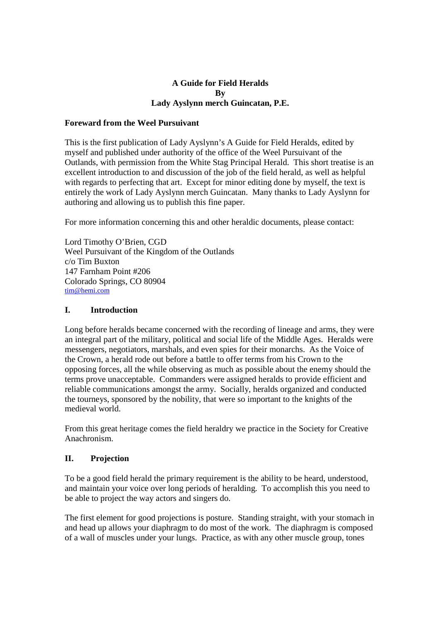### **A Guide for Field Heralds By Lady Ayslynn merch Guincatan, P.E.**

### **Foreward from the Weel Pursuivant**

This is the first publication of Lady Ayslynn's A Guide for Field Heralds, edited by myself and published under authority of the office of the Weel Pursuivant of the Outlands, with permission from the White Stag Principal Herald. This short treatise is an excellent introduction to and discussion of the job of the field herald, as well as helpful with regards to perfecting that art. Except for minor editing done by myself, the text is entirely the work of Lady Ayslynn merch Guincatan. Many thanks to Lady Ayslynn for authoring and allowing us to publish this fine paper.

For more information concerning this and other heraldic documents, please contact:

Lord Timothy O'Brien, CGD Weel Pursuivant of the Kingdom of the Outlands c/o Tim Buxton 147 Farnham Point #206 Colorado Springs, CO 80904 tim@hemi.com

### **I. Introduction**

Long before heralds became concerned with the recording of lineage and arms, they were an integral part of the military, political and social life of the Middle Ages. Heralds were messengers, negotiators, marshals, and even spies for their monarchs. As the Voice of the Crown, a herald rode out before a battle to offer terms from his Crown to the opposing forces, all the while observing as much as possible about the enemy should the terms prove unacceptable. Commanders were assigned heralds to provide efficient and reliable communications amongst the army. Socially, heralds organized and conducted the tourneys, sponsored by the nobility, that were so important to the knights of the medieval world.

From this great heritage comes the field heraldry we practice in the Society for Creative Anachronism.

### **II. Projection**

To be a good field herald the primary requirement is the ability to be heard, understood, and maintain your voice over long periods of heralding. To accomplish this you need to be able to project the way actors and singers do.

The first element for good projections is posture. Standing straight, with your stomach in and head up allows your diaphragm to do most of the work. The diaphragm is composed of a wall of muscles under your lungs. Practice, as with any other muscle group, tones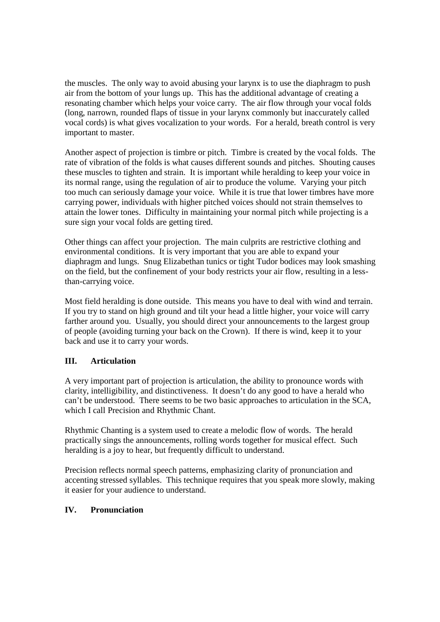the muscles. The only way to avoid abusing your larynx is to use the diaphragm to push air from the bottom of your lungs up. This has the additional advantage of creating a resonating chamber which helps your voice carry. The air flow through your vocal folds (long, narrown, rounded flaps of tissue in your larynx commonly but inaccurately called vocal cords) is what gives vocalization to your words. For a herald, breath control is very important to master.

Another aspect of projection is timbre or pitch. Timbre is created by the vocal folds. The rate of vibration of the folds is what causes different sounds and pitches. Shouting causes these muscles to tighten and strain. It is important while heralding to keep your voice in its normal range, using the regulation of air to produce the volume. Varying your pitch too much can seriously damage your voice. While it is true that lower timbres have more carrying power, individuals with higher pitched voices should not strain themselves to attain the lower tones. Difficulty in maintaining your normal pitch while projecting is a sure sign your vocal folds are getting tired.

Other things can affect your projection. The main culprits are restrictive clothing and environmental conditions. It is very important that you are able to expand your diaphragm and lungs. Snug Elizabethan tunics or tight Tudor bodices may look smashing on the field, but the confinement of your body restricts your air flow, resulting in a lessthan-carrying voice.

Most field heralding is done outside. This means you have to deal with wind and terrain. If you try to stand on high ground and tilt your head a little higher, your voice will carry farther around you. Usually, you should direct your announcements to the largest group of people (avoiding turning your back on the Crown). If there is wind, keep it to your back and use it to carry your words.

# **III. Articulation**

A very important part of projection is articulation, the ability to pronounce words with clarity, intelligibility, and distinctiveness. It doesn't do any good to have a herald who can't be understood. There seems to be two basic approaches to articulation in the SCA, which I call Precision and Rhythmic Chant.

Rhythmic Chanting is a system used to create a melodic flow of words. The herald practically sings the announcements, rolling words together for musical effect. Such heralding is a joy to hear, but frequently difficult to understand.

Precision reflects normal speech patterns, emphasizing clarity of pronunciation and accenting stressed syllables. This technique requires that you speak more slowly, making it easier for your audience to understand.

### **IV. Pronunciation**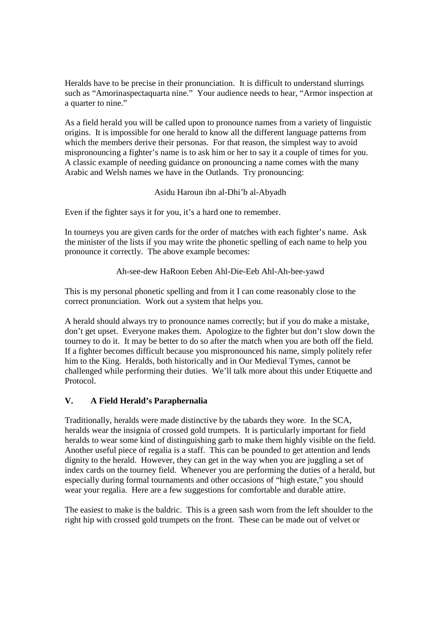Heralds have to be precise in their pronunciation. It is difficult to understand slurrings such as "Amorinaspectaquarta nine." Your audience needs to hear, "Armor inspection at a quarter to nine."

As a field herald you will be called upon to pronounce names from a variety of linguistic origins. It is impossible for one herald to know all the different language patterns from which the members derive their personas. For that reason, the simplest way to avoid mispronouncing a fighter's name is to ask him or her to say it a couple of times for you. A classic example of needing guidance on pronouncing a name comes with the many Arabic and Welsh names we have in the Outlands. Try pronouncing:

## Asidu Haroun ibn al-Dhi'b al-Abyadh

Even if the fighter says it for you, it's a hard one to remember.

In tourneys you are given cards for the order of matches with each fighter's name. Ask the minister of the lists if you may write the phonetic spelling of each name to help you pronounce it correctly. The above example becomes:

## Ah-see-dew HaRoon Eeben Ahl-Die-Eeb Ahl-Ah-bee-yawd

This is my personal phonetic spelling and from it I can come reasonably close to the correct pronunciation. Work out a system that helps you.

A herald should always try to pronounce names correctly; but if you do make a mistake, don't get upset. Everyone makes them. Apologize to the fighter but don't slow down the tourney to do it. It may be better to do so after the match when you are both off the field. If a fighter becomes difficult because you mispronounced his name, simply politely refer him to the King. Heralds, both historically and in Our Medieval Tymes, cannot be challenged while performing their duties. We'll talk more about this under Etiquette and Protocol.

# **V. A Field Herald's Paraphernalia**

Traditionally, heralds were made distinctive by the tabards they wore. In the SCA, heralds wear the insignia of crossed gold trumpets. It is particularly important for field heralds to wear some kind of distinguishing garb to make them highly visible on the field. Another useful piece of regalia is a staff. This can be pounded to get attention and lends dignity to the herald. However, they can get in the way when you are juggling a set of index cards on the tourney field. Whenever you are performing the duties of a herald, but especially during formal tournaments and other occasions of "high estate," you should wear your regalia. Here are a few suggestions for comfortable and durable attire.

The easiest to make is the baldric. This is a green sash worn from the left shoulder to the right hip with crossed gold trumpets on the front. These can be made out of velvet or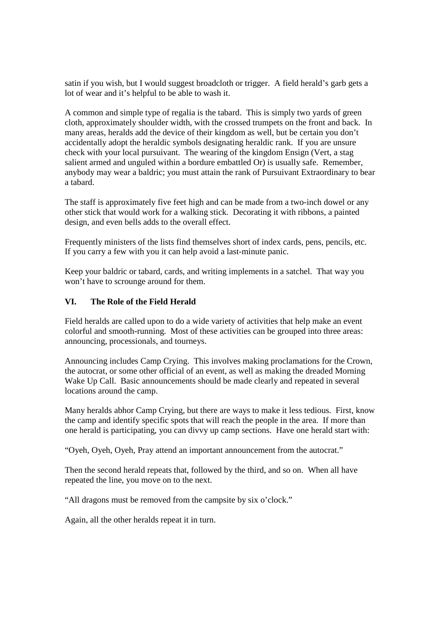satin if you wish, but I would suggest broadcloth or trigger. A field herald's garb gets a lot of wear and it's helpful to be able to wash it.

A common and simple type of regalia is the tabard. This is simply two yards of green cloth, approximately shoulder width, with the crossed trumpets on the front and back. In many areas, heralds add the device of their kingdom as well, but be certain you don't accidentally adopt the heraldic symbols designating heraldic rank. If you are unsure check with your local pursuivant. The wearing of the kingdom Ensign (Vert, a stag salient armed and unguled within a bordure embattled Or) is usually safe. Remember, anybody may wear a baldric; you must attain the rank of Pursuivant Extraordinary to bear a tabard.

The staff is approximately five feet high and can be made from a two-inch dowel or any other stick that would work for a walking stick. Decorating it with ribbons, a painted design, and even bells adds to the overall effect.

Frequently ministers of the lists find themselves short of index cards, pens, pencils, etc. If you carry a few with you it can help avoid a last-minute panic.

Keep your baldric or tabard, cards, and writing implements in a satchel. That way you won't have to scrounge around for them.

### **VI. The Role of the Field Herald**

Field heralds are called upon to do a wide variety of activities that help make an event colorful and smooth-running. Most of these activities can be grouped into three areas: announcing, processionals, and tourneys.

Announcing includes Camp Crying. This involves making proclamations for the Crown, the autocrat, or some other official of an event, as well as making the dreaded Morning Wake Up Call. Basic announcements should be made clearly and repeated in several locations around the camp.

Many heralds abhor Camp Crying, but there are ways to make it less tedious. First, know the camp and identify specific spots that will reach the people in the area. If more than one herald is participating, you can divvy up camp sections. Have one herald start with:

"Oyeh, Oyeh, Oyeh, Pray attend an important announcement from the autocrat."

Then the second herald repeats that, followed by the third, and so on. When all have repeated the line, you move on to the next.

"All dragons must be removed from the campsite by six o'clock."

Again, all the other heralds repeat it in turn.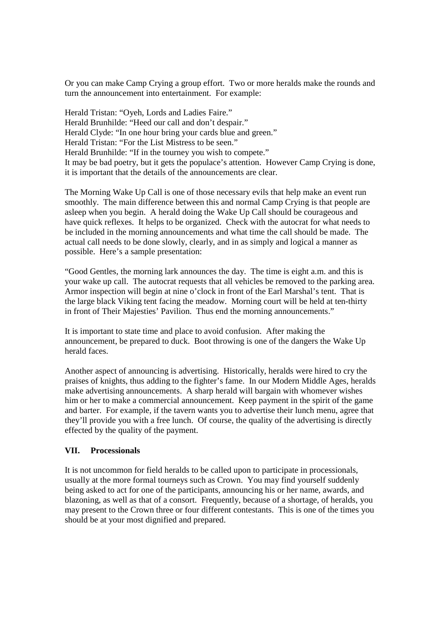Or you can make Camp Crying a group effort. Two or more heralds make the rounds and turn the announcement into entertainment. For example:

Herald Tristan: "Oyeh, Lords and Ladies Faire." Herald Brunhilde: "Heed our call and don't despair." Herald Clyde: "In one hour bring your cards blue and green." Herald Tristan: "For the List Mistress to be seen." Herald Brunhilde: "If in the tourney you wish to compete." It may be bad poetry, but it gets the populace's attention. However Camp Crying is done, it is important that the details of the announcements are clear.

The Morning Wake Up Call is one of those necessary evils that help make an event run smoothly. The main difference between this and normal Camp Crying is that people are asleep when you begin. A herald doing the Wake Up Call should be courageous and have quick reflexes. It helps to be organized. Check with the autocrat for what needs to be included in the morning announcements and what time the call should be made. The actual call needs to be done slowly, clearly, and in as simply and logical a manner as possible. Here's a sample presentation:

"Good Gentles, the morning lark announces the day. The time is eight a.m. and this is your wake up call. The autocrat requests that all vehicles be removed to the parking area. Armor inspection will begin at nine o'clock in front of the Earl Marshal's tent. That is the large black Viking tent facing the meadow. Morning court will be held at ten-thirty in front of Their Majesties' Pavilion. Thus end the morning announcements."

It is important to state time and place to avoid confusion. After making the announcement, be prepared to duck. Boot throwing is one of the dangers the Wake Up herald faces.

Another aspect of announcing is advertising. Historically, heralds were hired to cry the praises of knights, thus adding to the fighter's fame. In our Modern Middle Ages, heralds make advertising announcements. A sharp herald will bargain with whomever wishes him or her to make a commercial announcement. Keep payment in the spirit of the game and barter. For example, if the tavern wants you to advertise their lunch menu, agree that they'll provide you with a free lunch. Of course, the quality of the advertising is directly effected by the quality of the payment.

### **VII. Processionals**

It is not uncommon for field heralds to be called upon to participate in processionals, usually at the more formal tourneys such as Crown. You may find yourself suddenly being asked to act for one of the participants, announcing his or her name, awards, and blazoning, as well as that of a consort. Frequently, because of a shortage, of heralds, you may present to the Crown three or four different contestants. This is one of the times you should be at your most dignified and prepared.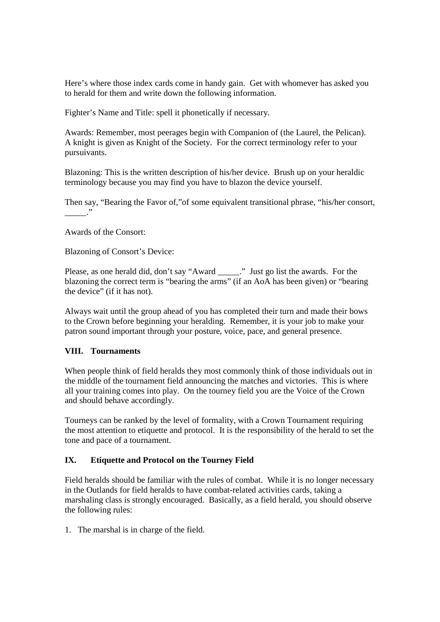Here's where those index cards come in handy gain. Get with whomever has asked you to herald for them and write down the following information.

Fighter's Name and Title: spell it phonetically if necessary.

Awards: Remember, most peerages begin with Companion of (the Laurel, the Pelican). A knight is given as Knight of the Society. For the correct terminology refer to your pursuivants.

Blazoning: This is the written description of his/her device. Brush up on your heraldic terminology because you may find you have to blazon the device yourself.

Then say, "Bearing the Favor of,"of some equivalent transitional phrase, "his/her consort,  $\ddots$ 

Awards of the Consort:

Blazoning of Consort's Device:

Please, as one herald did, don't say "Award \_\_\_\_\_." Just go list the awards. For the blazoning the correct term is "bearing the arms" (if an AoA has been given) or "bearing the device" (if it has not).

Always wait until the group ahead of you has completed their turn and made their bows to the Crown before beginning your heralding. Remember, it is your job to make your patron sound important through your posture, voice, pace, and general presence.

### **VIII. Tournaments**

When people think of field heralds they most commonly think of those individuals out in the middle of the tournament field announcing the matches and victories. This is where all your training comes into play. On the tourney field you are the Voice of the Crown and should behave accordingly.

Tourneys can be ranked by the level of formality, with a Crown Tournament requiring the most attention to etiquette and protocol. It is the responsibility of the herald to set the tone and pace of a tournament.

### **IX. Etiquette and Protocol on the Tourney Field**

Field heralds should be familiar with the rules of combat. While it is no longer necessary in the Outlands for field heralds to have combat-related activities cards, taking a marshaling class is strongly encouraged. Basically, as a field herald, you should observe the following rules:

1. The marshal is in charge of the field.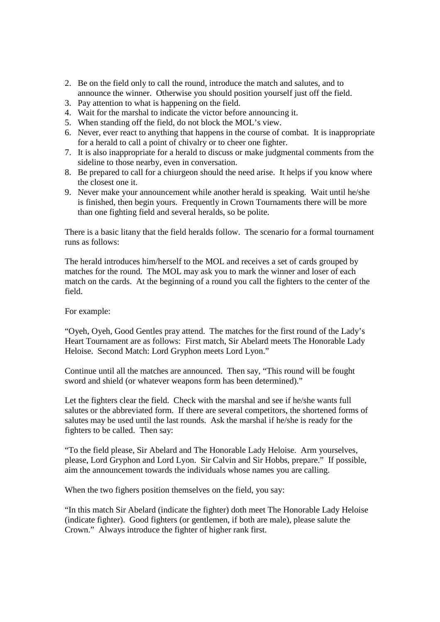- 2. Be on the field only to call the round, introduce the match and salutes, and to announce the winner. Otherwise you should position yourself just off the field.
- 3. Pay attention to what is happening on the field.
- 4. Wait for the marshal to indicate the victor before announcing it.
- 5. When standing off the field, do not block the MOL's view.
- 6. Never, ever react to anything that happens in the course of combat. It is inappropriate for a herald to call a point of chivalry or to cheer one fighter.
- 7. It is also inappropriate for a herald to discuss or make judgmental comments from the sideline to those nearby, even in conversation.
- 8. Be prepared to call for a chiurgeon should the need arise. It helps if you know where the closest one it.
- 9. Never make your announcement while another herald is speaking. Wait until he/she is finished, then begin yours. Frequently in Crown Tournaments there will be more than one fighting field and several heralds, so be polite.

There is a basic litany that the field heralds follow. The scenario for a formal tournament runs as follows:

The herald introduces him/herself to the MOL and receives a set of cards grouped by matches for the round. The MOL may ask you to mark the winner and loser of each match on the cards. At the beginning of a round you call the fighters to the center of the field.

For example:

"Oyeh, Oyeh, Good Gentles pray attend. The matches for the first round of the Lady's Heart Tournament are as follows: First match, Sir Abelard meets The Honorable Lady Heloise. Second Match: Lord Gryphon meets Lord Lyon."

Continue until all the matches are announced. Then say, "This round will be fought sword and shield (or whatever weapons form has been determined)."

Let the fighters clear the field. Check with the marshal and see if he/she wants full salutes or the abbreviated form. If there are several competitors, the shortened forms of salutes may be used until the last rounds. Ask the marshal if he/she is ready for the fighters to be called. Then say:

"To the field please, Sir Abelard and The Honorable Lady Heloise. Arm yourselves, please, Lord Gryphon and Lord Lyon. Sir Calvin and Sir Hobbs, prepare." If possible, aim the announcement towards the individuals whose names you are calling.

When the two fighers position themselves on the field, you say:

"In this match Sir Abelard (indicate the fighter) doth meet The Honorable Lady Heloise (indicate fighter). Good fighters (or gentlemen, if both are male), please salute the Crown." Always introduce the fighter of higher rank first.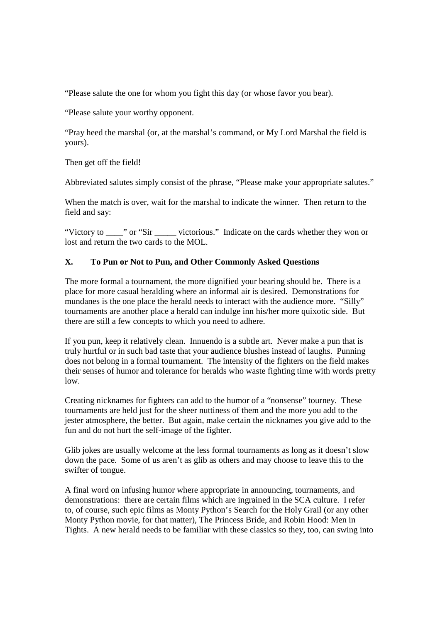"Please salute the one for whom you fight this day (or whose favor you bear).

"Please salute your worthy opponent.

"Pray heed the marshal (or, at the marshal's command, or My Lord Marshal the field is yours).

Then get off the field!

Abbreviated salutes simply consist of the phrase, "Please make your appropriate salutes."

When the match is over, wait for the marshal to indicate the winner. Then return to the field and say:

"Victory to \_\_\_\_\_" or "Sir \_\_\_\_\_\_ victorious." Indicate on the cards whether they won or lost and return the two cards to the MOL.

### **X. To Pun or Not to Pun, and Other Commonly Asked Questions**

The more formal a tournament, the more dignified your bearing should be. There is a place for more casual heralding where an informal air is desired. Demonstrations for mundanes is the one place the herald needs to interact with the audience more. "Silly" tournaments are another place a herald can indulge inn his/her more quixotic side. But there are still a few concepts to which you need to adhere.

If you pun, keep it relatively clean. Innuendo is a subtle art. Never make a pun that is truly hurtful or in such bad taste that your audience blushes instead of laughs. Punning does not belong in a formal tournament. The intensity of the fighters on the field makes their senses of humor and tolerance for heralds who waste fighting time with words pretty low.

Creating nicknames for fighters can add to the humor of a "nonsense" tourney. These tournaments are held just for the sheer nuttiness of them and the more you add to the jester atmosphere, the better. But again, make certain the nicknames you give add to the fun and do not hurt the self-image of the fighter.

Glib jokes are usually welcome at the less formal tournaments as long as it doesn't slow down the pace. Some of us aren't as glib as others and may choose to leave this to the swifter of tongue.

A final word on infusing humor where appropriate in announcing, tournaments, and demonstrations: there are certain films which are ingrained in the SCA culture. I refer to, of course, such epic films as Monty Python's Search for the Holy Grail (or any other Monty Python movie, for that matter), The Princess Bride, and Robin Hood: Men in Tights. A new herald needs to be familiar with these classics so they, too, can swing into